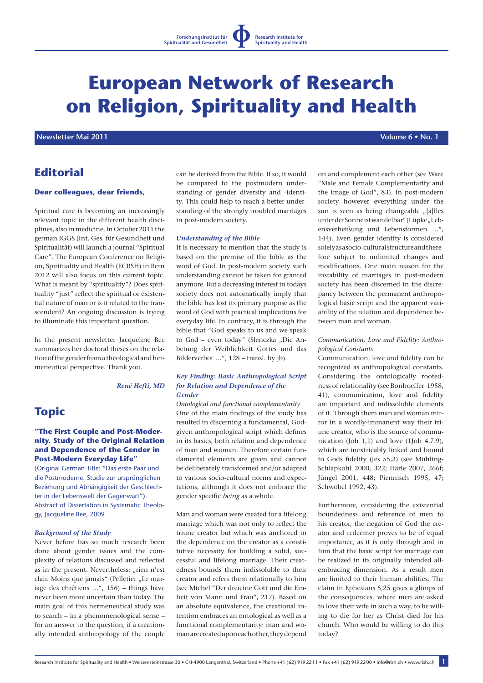# **European Network of Research on Religion, Spirituality and Health**

 **Newsletter Mai 2011 Newsletter Mai 2011 Volume 6 • No. 1** 

# **Editorial**

#### **Dear colleagues, dear friends,**

Spiritual care is becoming an increasingly relevant topic in the different health disciplines, also in medicine. In October 2011 the german IGGS (Int. Ges. für Gesundheit und Spiritualität) will launch a journal "Spiritual Care". The European Conference on Religion, Spirituality and Health (ECRSH) in Bern 2012 will also focus on this current topic. What is meant by "spirituality"? Does spirituality "just" reflect the spiritual or existential nature of man or is it related to the transcendent? An ongoing discussion is trying to illuminate this important question.

In the present newsletter Jacqueline Bee summarizes her doctoral theses on the relation of the gender from a theological and hermeneutical perspective. Thank you.

## *René Hefti, MD*

# **Topic**

#### **"The First Couple and Post-Modernity. Study of the Original Relation and Dependence of the Gender in Post-Modern Everyday Life"**

(Original German Title: "Das erste Paar und die Postmoderne. Studie zur ursprünglichen Beziehung und Abhängigkeit der Geschlechter in der Lebenswelt der Gegenwart"). Abstract of Dissertation in Systematic Theology, Jacqueline Bee, 2009

#### *Background of the Study*

Never before has so much research been done about gender issues and the complexity of relations discussed and reflected as in the present. Nevertheless: "rien n'est clair. Moins que jamais" (Pelletier "Le mariage des chrétiens …", 156) – things have never been more uncertain than today. The main goal of this hermeneutical study was to search – in a phenomenological sense – for an answer to the question, if a creationally intended anthropology of the couple

can be derived from the Bible. If so, it would be compared to the postmodern understanding of gender diversity and -identity. This could help to reach a better understanding of the strongly troubled marriages in post-modern society.

#### *Understanding of the Bible*

It is necessary to mention that the study is based on the premise of the bible as the word of God. In post-modern society such understanding cannot be taken for granted anymore. But a decreasing interest in todays society does not automatically imply that the bible has lost its primary purpose as the word of God with practical implications for everyday life. In contrary, it is through the bible that "God speaks to us and we speak to God – even today" (Slenczka "Die Anbetung der Weiblichkeit Gottes und das Bilderverbot …", 128 – transl. by jb).

#### *Key Finding: Basic Anthropological Script for Relation and Dependence of the Gender*

*Ontological and functional complementarity* One of the main findings of the study has resulted in discerning a fundamental, Godgiven anthropological script which defines in its basics, both relation and dependence of man and woman. Therefore certain fundamental elements are given and cannot be deliberately transformed and/or adapted to various socio-cultural norms and expectations, although it does not embrace the gender specific being as a whole.

Man and woman were created for a lifelong marriage which was not only to reflect the triune creator but which was anchored in the dependence on the creator as a constitutive necessity for building a solid, successful and lifelong marriage. Their createdness bounds them indissoluble to their creator and refers them relationally to him (see Michel "Der dreieine Gott und die Einheit von Mann und Frau", 217). Based on an absolute equivalence, the creational intention embraces an ontological as well as a functional complementarity: man and woman are created upon each other, they depend

on and complement each other (see Ware "Male and Female Complementarity and the Image of God", 83). In post-modern society however everything under the sun is seen as being changeable "[a]lles unter der Sonne ist wandelbar" (Lüpke "Lebensverheißung und Lebensformen …", 144). Even gender identity is considered solely as a socio-cultural structure and therefore subject to unlimited changes and modifications. One main reason for the instability of marriages in post-modern society has been discerned in the discrepancy between the permanent anthropological basic script and the apparent variability of the relation and dependence between man and woman.

#### *Communication, Love and Fidelity: Anthropological Constants*

Communication, love and fidelity can be recognized as anthropological constants. Considering the ontologically rootedness of relationality (see Bonhoeffer 1958, 41), communication, love and fidelity are important and indissoluble elements of it. Through them man and woman mirror in a wordly-immanent way their triune creator, who is the source of communication (Joh 1,1) and love (1Joh 4,7.9), which are inextricably linked and bound to Gods fidelity (Jes 55,3) (see Mühling-Schlapkohl 2000, 322; Härle 2007, 266f; Jüngel 2001, 448; Piennisch 1995, 47; Schwöbel 1992, 43).

Furthermore, considering the existential boundedness and reference of men to his creator, the negation of God the creator and redeemer proves to be of equal importance, as it is only through and in him that the basic script for marriage can be realized in its originally intended allembracing dimension. As a result men are limited to their human abilities. The claim in Ephesians 5,25 gives a glimps of the consequences, where men are asked to love their wife in such a way, to be willing to die for her as Christ died for his church. Who would be willing to do this today?